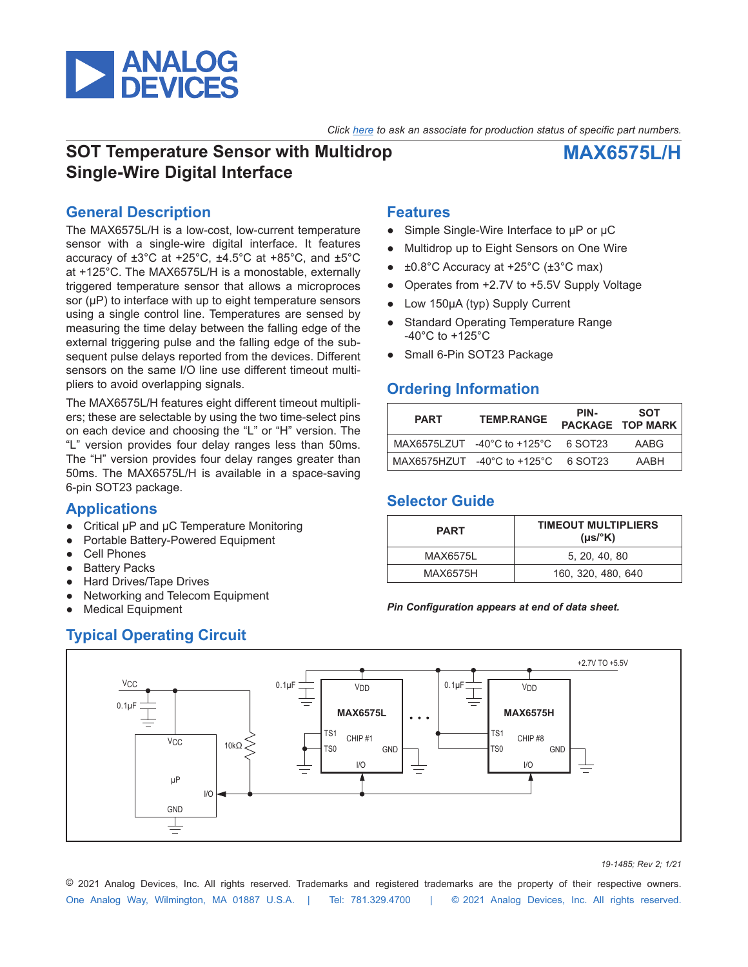

*Click [here](https://www.maximintegrated.com/en/storefront/storefront.html) to ask an associate for production status of specific part numbers.*

# **SOT Temperature Sensor with Multidrop Single-Wire Digital Interface**

# **MAX6575L/H**

## **General Description**

The MAX6575L/H is a low-cost, low-current temperature sensor with a single-wire digital interface. It features accuracy of ±3°C at +25°C, ±4.5°C at +85°C, and ±5°C at +125°C. The MAX6575L/H is a monostable, externally triggered temperature sensor that allows a microproces sor (μP) to interface with up to eight temperature sensors using a single control line. Temperatures are sensed by measuring the time delay between the falling edge of the external triggering pulse and the falling edge of the subsequent pulse delays reported from the devices. Different sensors on the same I/O line use different timeout multipliers to avoid overlapping signals.

The MAX6575L/H features eight different timeout multipliers; these are selectable by using the two time-select pins on each device and choosing the "L" or "H" version. The "L" version provides four delay ranges less than 50ms. The "H" version provides four delay ranges greater than 50ms. The MAX6575L/H is available in a space-saving 6-pin SOT23 package.

## **Applications**

- Critical μP and μC Temperature Monitoring
- Portable Battery-Powered Equipment
- **Cell Phones**
- **Battery Packs**
- **Hard Drives/Tape Drives**
- Networking and Telecom Equipment
- **Medical Equipment**

## **Features**

- Simple Single-Wire Interface to μP or μC
- Multidrop up to Eight Sensors on One Wire
- $\pm 0.8^{\circ}$ C Accuracy at +25 $^{\circ}$ C ( $\pm 3^{\circ}$ C max)
- Operates from +2.7V to +5.5V Supply Voltage
- Low 150μA (typ) Supply Current
- **Standard Operating Temperature Range** -40°C to +125°C
- Small 6-Pin SOT23 Package

## **Ordering Information**

| <b>PART</b> | <b>TEMP RANGE</b>                                       | PIN- | SOT<br>PACKAGE TOP MARK |
|-------------|---------------------------------------------------------|------|-------------------------|
|             | MAX6575LZUT $-40^{\circ}$ C to $+125^{\circ}$ C 6 SOT23 |      | AABG                    |
|             | MAX6575HZUT $-40^{\circ}$ C to $+125^{\circ}$ C 6 SOT23 |      | AABH                    |

### **Selector Guide**

| <b>PART</b> | <b>TIMEOUT MULTIPLIERS</b><br>$(\mu s$ <sup>o</sup> K) |
|-------------|--------------------------------------------------------|
| MAX6575L    | 5. 20. 40. 80                                          |
| MAX6575H    | 160, 320, 480, 640                                     |

### *Pin Configuration appears at end of data sheet.*



*<sup>19-1485;</sup> Rev 2; 1/21*

One Analog Way, Wilmington, MA 01887 U.S.A. | Tel: 781.329.4700 | © 2021 Analog Devices, Inc. All rights reserved. © 2021 Analog Devices, Inc. All rights reserved. Trademarks and registered trademarks are the property of their respective owners.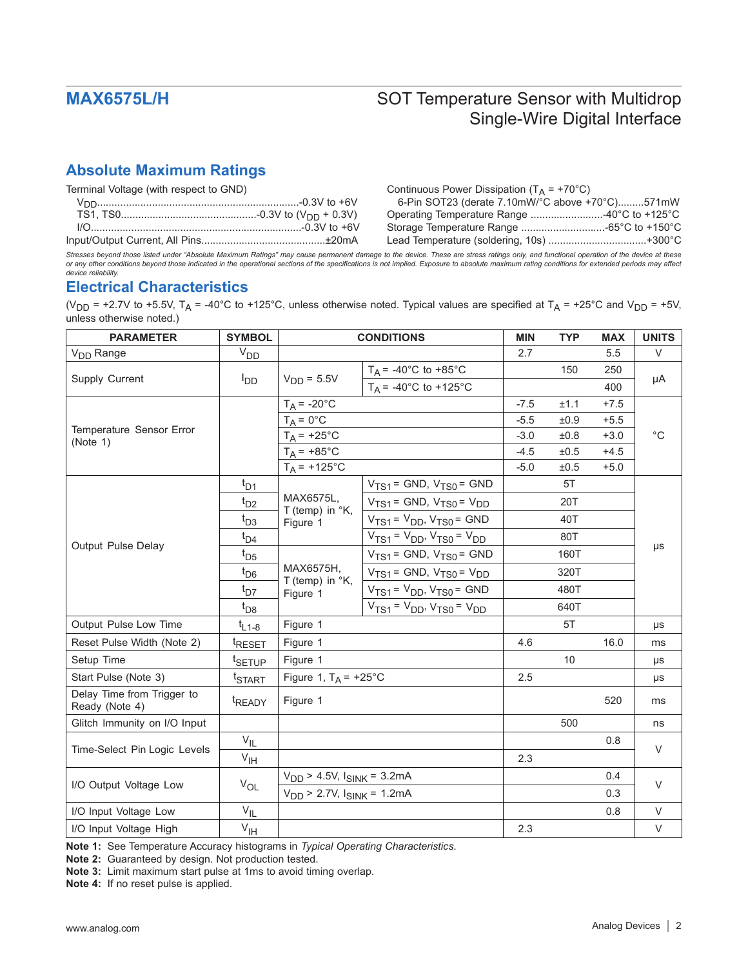# **Absolute Maximum Ratings**

| Terminal Voltage (with respect to GND) | Continuous Power Dissipation ( $T_A$ = +70°C)   |  |
|----------------------------------------|-------------------------------------------------|--|
|                                        | 6-Pin SOT23 (derate 7.10mW/°C above +70°C)571mW |  |
|                                        | Operating Temperature Range 40°C to +125°C      |  |
|                                        |                                                 |  |
|                                        |                                                 |  |

*Stresses beyond those listed under "Absolute Maximum Ratings" may cause permanent damage to the device. These are stress ratings only, and functional operation of the device at these or any other conditions beyond those indicated in the operational sections of the specifications is not implied. Exposure to absolute maximum rating conditions for extended periods may affect device reliability.*

## **Electrical Characteristics**

(V<sub>DD</sub> = +2.7V to +5.5V, T<sub>A</sub> = -40°C to +125°C, unless otherwise noted. Typical values are specified at T<sub>A</sub> = +25°C and V<sub>DD</sub> = +5V, unless otherwise noted.)

| <b>PARAMETER</b>                             | <b>SYMBOL</b>      | <b>CONDITIONS</b>                                   |                                         | <b>MIN</b> | <b>TYP</b> | <b>MAX</b> | <b>UNITS</b> |
|----------------------------------------------|--------------------|-----------------------------------------------------|-----------------------------------------|------------|------------|------------|--------------|
| V <sub>DD</sub> Range                        | $V_{DD}$           |                                                     |                                         | 2.7        |            | 5.5        | $\vee$       |
| Supply Current                               |                    |                                                     | $T_A$ = -40°C to +85°C                  |            | 150        | 250        |              |
|                                              | <sup>I</sup> DD    | $VDD = 5.5V$                                        | $T_A = -40^{\circ}C$ to $+125^{\circ}C$ |            |            | 400        | μA           |
|                                              |                    | $T_A = -20$ °C                                      |                                         | $-7.5$     | ±1.1       | $+7.5$     |              |
|                                              |                    | $T_A = 0$ °C                                        |                                         | $-5.5$     | ±0.9       | $+5.5$     |              |
| Temperature Sensor Error<br>(Note 1)         |                    | $T_A = +25$ °C                                      |                                         | $-3.0$     | ±0.8       | $+3.0$     | $^{\circ}C$  |
|                                              |                    | $T_A = +85$ °C                                      |                                         | $-4.5$     | ±0.5       | $+4.5$     |              |
|                                              |                    | $T_A = +125$ °C                                     |                                         | $-5.0$     | ±0.5       | $+5.0$     |              |
| Output Pulse Delay                           | $t_{D1}$           |                                                     | $VTS1 = GND, VTS0 = GND$                |            | 5T         |            |              |
|                                              | $t_{D2}$           | MAX6575L,<br>T (temp) in $\mathrm{K}$ ,             | $V_{TS1}$ = GND, $V_{TS0}$ = $V_{DD}$   |            | 20T        |            | μs           |
|                                              | $t_{D3}$           | Figure 1                                            | $V_{TS1} = V_{DD}$ , $V_{TS0} = GND$    |            | 40T        |            |              |
|                                              | $t_{\rm D4}$       |                                                     | $V_{TS1} = V_{DD}$ , $V_{TS0} = V_{DD}$ |            | 80T        |            |              |
|                                              | $t_{D5}$           | MAX6575H,<br>T (temp) in $\mathrm{K}$ ,<br>Figure 1 | $V_{TS1}$ = GND, $V_{TS0}$ = GND        |            | 160T       |            |              |
|                                              | $t_{\text{D6}}$    |                                                     | $VTS1 = GND, VTS0 = VDD$                |            | 320T       |            |              |
|                                              | $t_{D7}$           |                                                     | $V_{TS1} = V_{DD}$ , $V_{TS0} = GND$    |            | 480T       |            |              |
|                                              | $t_{D8}$           |                                                     | $V_{TS1} = V_{DD}$ , $V_{TS0} = V_{DD}$ |            | 640T       |            |              |
| Output Pulse Low Time                        | $t_{L1-8}$         | Figure 1                                            |                                         |            | 5T         |            | μs           |
| Reset Pulse Width (Note 2)                   | <sup>t</sup> RESET | Figure 1                                            |                                         | 4.6        |            | 16.0       | ms           |
| Setup Time                                   | <sup>t</sup> SETUP | Figure 1                                            |                                         |            | 10         |            | μs           |
| Start Pulse (Note 3)                         | <sup>t</sup> START | Figure 1, $T_A$ = +25°C                             |                                         | 2.5        |            |            | μs           |
| Delay Time from Trigger to<br>Ready (Note 4) | <sup>t</sup> READY | Figure 1                                            |                                         |            |            | 520        | ms           |
| Glitch Immunity on I/O Input                 |                    |                                                     |                                         |            | 500        |            | ns           |
| Time-Select Pin Logic Levels                 | $V_{IL}$           |                                                     |                                         |            |            | 0.8        | V            |
|                                              | $V_{\text{IH}}$    |                                                     |                                         | 2.3        |            |            |              |
| I/O Output Voltage Low                       |                    | $V_{DD}$ > 4.5V, $I_{SINK}$ = 3.2mA                 |                                         |            |            | 0.4        | $\vee$       |
|                                              | $V_{OL}$           | $V_{DD}$ > 2.7V, $I_{SINK}$ = 1.2mA                 |                                         |            |            | 0.3        |              |
| I/O Input Voltage Low                        | $V_{\vert L}$      |                                                     |                                         |            |            | 0.8        | V            |
| I/O Input Voltage High                       | $V_{\text{IH}}$    |                                                     |                                         | 2.3        |            |            | $\vee$       |

**Note 1:** See Temperature Accuracy histograms in *Typical Operating Characteristics*.

**Note 2:** Guaranteed by design. Not production tested.

**Note 3:** Limit maximum start pulse at 1ms to avoid timing overlap.

**Note 4:** If no reset pulse is applied.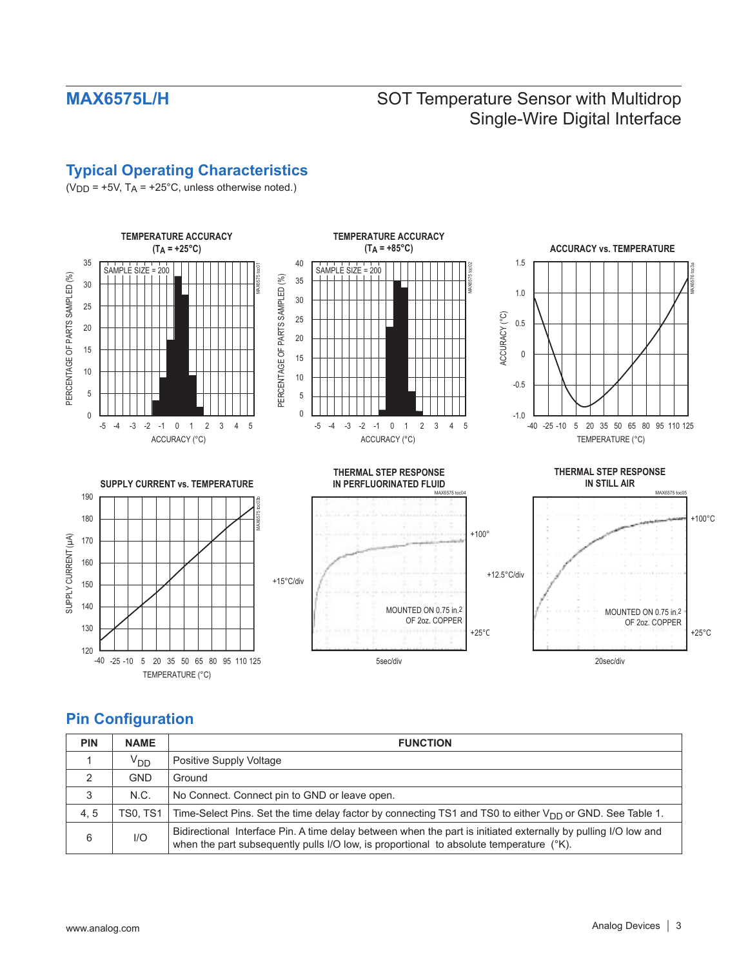# **Typical Operating Characteristics**

( $VDD = +5V$ ,  $TA = +25^{\circ}C$ , unless otherwise noted.)



# **Pin Configuration**

| <b>PIN</b> | <b>NAME</b>     | <b>FUNCTION</b>                                                                                                                                                                                           |
|------------|-----------------|-----------------------------------------------------------------------------------------------------------------------------------------------------------------------------------------------------------|
|            | V <sub>DD</sub> | Positive Supply Voltage                                                                                                                                                                                   |
| っ          | <b>GND</b>      | Ground                                                                                                                                                                                                    |
| 3          | N.C.            | No Connect. Connect pin to GND or leave open.                                                                                                                                                             |
| 4, 5       | TS0. TS1        | Time-Select Pins. Set the time delay factor by connecting TS1 and TS0 to either $V_{DD}$ or GND. See Table 1.                                                                                             |
| 6          | 1/O             | Bidirectional Interface Pin. A time delay between when the part is initiated externally by pulling I/O low and<br>when the part subsequently pulls I/O low, is proportional to absolute temperature (°K). |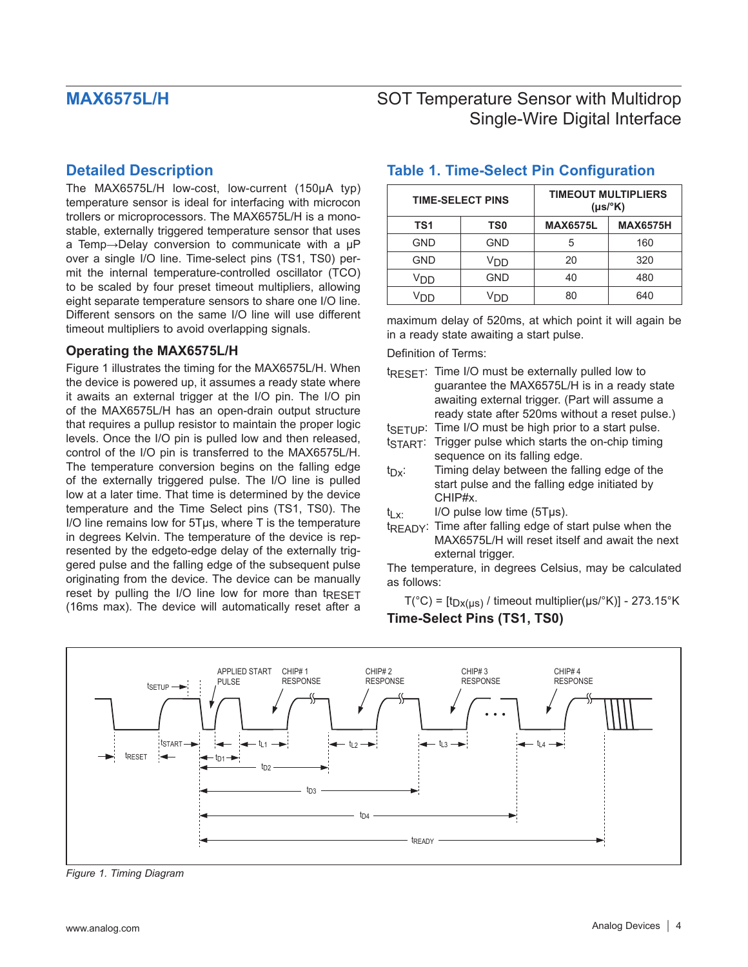### **Detailed Description**

The MAX6575L/H low-cost, low-current (150μA typ) temperature sensor is ideal for interfacing with microcon trollers or microprocessors. The MAX6575L/H is a monostable, externally triggered temperature sensor that uses a Temp→Delay conversion to communicate with a μP over a single I/O line. Time-select pins (TS1, TS0) permit the internal temperature-controlled oscillator (TCO) to be scaled by four preset timeout multipliers, allowing eight separate temperature sensors to share one I/O line. Different sensors on the same I/O line will use different timeout multipliers to avoid overlapping signals.

### **Operating the MAX6575L/H**

Figure 1 illustrates the timing for the MAX6575L/H. When the device is powered up, it assumes a ready state where it awaits an external trigger at the I/O pin. The I/O pin of the MAX6575L/H has an open-drain output structure that requires a pullup resistor to maintain the proper logic levels. Once the I/O pin is pulled low and then released, control of the I/O pin is transferred to the MAX6575L/H. The temperature conversion begins on the falling edge of the externally triggered pulse. The I/O line is pulled low at a later time. That time is determined by the device temperature and the Time Select pins (TS1, TS0). The I/O line remains low for 5Tμs, where T is the temperature in degrees Kelvin. The temperature of the device is represented by the edgeto-edge delay of the externally triggered pulse and the falling edge of the subsequent pulse originating from the device. The device can be manually reset by pulling the I/O line low for more than tRESET (16ms max). The device will automatically reset after a

## **TIME-SELECT PINS TIMEOUT MULTIPLIERS (μs/°K) TS1 TS0 MAX6575L MAX6575H** GND | GND | 5 | 160 GND | V<sub>DD</sub> | 20 | 320 V<sub>DD</sub> | GND | 40 | 480 VDD VDD 80 640

### **Table 1. Time-Select Pin Configuration**

maximum delay of 520ms, at which point it will again be in a ready state awaiting a start pulse.

Definition of Terms:

- tRESET: Time I/O must be externally pulled low to guarantee the MAX6575L/H is in a ready state awaiting external trigger. (Part will assume a ready state after 520ms without a reset pulse.)
- $t_{SFTUP}$ : Time I/O must be high prior to a start pulse.
- tSTART: Trigger pulse which starts the on-chip timing sequence on its falling edge.
- $t_{\text{Dx}}$ : Timing delay between the falling edge of the start pulse and the falling edge initiated by CHIP#x.

 $t_{\text{Ly}}$  I/O pulse low time (5Tus).

t<sub>READY</sub>: Time after falling edge of start pulse when the MAX6575L/H will reset itself and await the next external trigger.

The temperature, in degrees Celsius, may be calculated as follows:

 $T(^{\circ}C)$  = [t<sub>Dx(μs)</sub> / timeout multiplier(μs/ $^{\circ}$ K)] - 273.15 $^{\circ}$ K **Time-Select Pins (TS1, TS0)**



*Figure 1. Timing Diagram*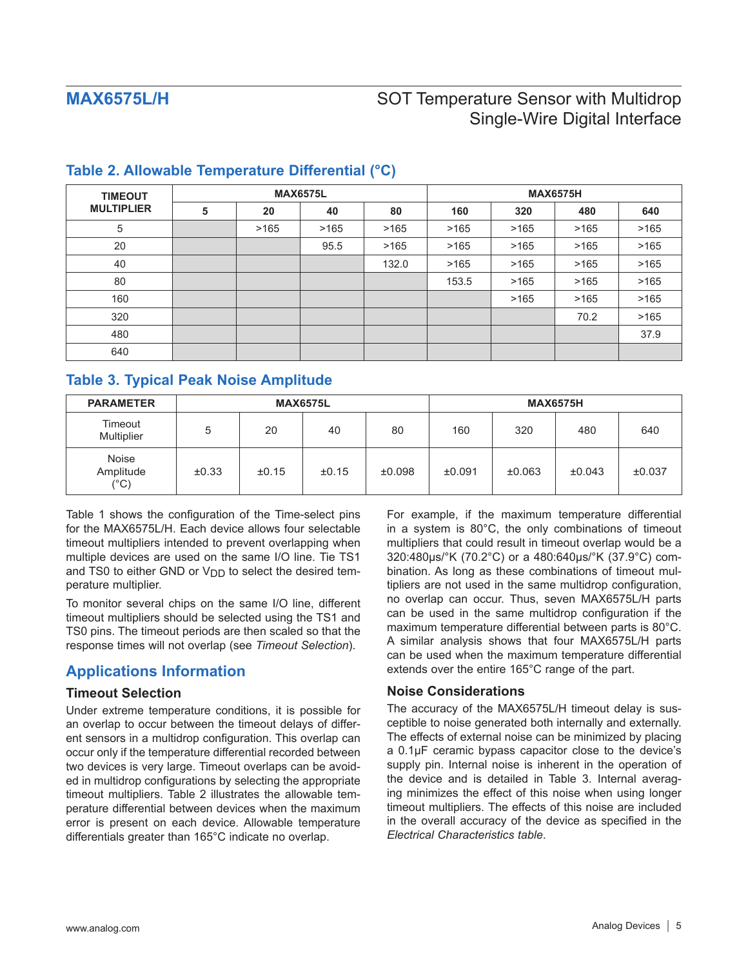| <b>TIMEOUT</b><br><b>MULTIPLIER</b> |   |      | <b>MAX6575L</b> |       | <b>MAX6575H</b> |      |      |      |
|-------------------------------------|---|------|-----------------|-------|-----------------|------|------|------|
|                                     | 5 | 20   | 40              | 80    | 160             | 320  | 480  | 640  |
| 5                                   |   | >165 | >165            | >165  | >165            | >165 | >165 | >165 |
| 20                                  |   |      | 95.5            | >165  | >165            | >165 | >165 | >165 |
| 40                                  |   |      |                 | 132.0 | >165            | >165 | >165 | >165 |
| 80                                  |   |      |                 |       | 153.5           | >165 | >165 | >165 |
| 160                                 |   |      |                 |       |                 | >165 | >165 | >165 |
| 320                                 |   |      |                 |       |                 |      | 70.2 | >165 |
| 480                                 |   |      |                 |       |                 |      |      | 37.9 |
| 640                                 |   |      |                 |       |                 |      |      |      |

## **Table 2. Allowable Temperature Differential (°C)**

## **Table 3. Typical Peak Noise Amplitude**

| <b>PARAMETER</b>                           | <b>MAX6575L</b> |       |       |        | <b>MAX6575H</b> |        |        |        |
|--------------------------------------------|-----------------|-------|-------|--------|-----------------|--------|--------|--------|
| Timeout<br>Multiplier                      | 5               | 20    | 40    | 80     | 160             | 320    | 480    | 640    |
| <b>Noise</b><br>Amplitude<br>$(^{\circ}C)$ | $\pm 0.33$      | ±0.15 | ±0.15 | ±0.098 | ±0.091          | ±0.063 | ±0.043 | ±0.037 |

Table 1 shows the configuration of the Time-select pins for the MAX6575L/H. Each device allows four selectable timeout multipliers intended to prevent overlapping when multiple devices are used on the same I/O line. Tie TS1 and TS0 to either GND or  $V_{DD}$  to select the desired temperature multiplier.

To monitor several chips on the same I/O line, different timeout multipliers should be selected using the TS1 and TS0 pins. The timeout periods are then scaled so that the response times will not overlap (see *Timeout Selection*).

## **Applications Information**

### **Timeout Selection**

Under extreme temperature conditions, it is possible for an overlap to occur between the timeout delays of different sensors in a multidrop configuration. This overlap can occur only if the temperature differential recorded between two devices is very large. Timeout overlaps can be avoided in multidrop configurations by selecting the appropriate timeout multipliers. Table 2 illustrates the allowable temperature differential between devices when the maximum error is present on each device. Allowable temperature differentials greater than 165°C indicate no overlap.

For example, if the maximum temperature differential in a system is 80°C, the only combinations of timeout multipliers that could result in timeout overlap would be a 320:480μs/°K (70.2°C) or a 480:640μs/°K (37.9°C) combination. As long as these combinations of timeout multipliers are not used in the same multidrop configuration, no overlap can occur. Thus, seven MAX6575L/H parts can be used in the same multidrop configuration if the maximum temperature differential between parts is 80°C. A similar analysis shows that four MAX6575L/H parts can be used when the maximum temperature differential extends over the entire 165°C range of the part.

### **Noise Considerations**

The accuracy of the MAX6575L/H timeout delay is susceptible to noise generated both internally and externally. The effects of external noise can be minimized by placing a 0.1μF ceramic bypass capacitor close to the device's supply pin. Internal noise is inherent in the operation of the device and is detailed in Table 3. Internal averaging minimizes the effect of this noise when using longer timeout multipliers. The effects of this noise are included in the overall accuracy of the device as specified in the *Electrical Characteristics table*.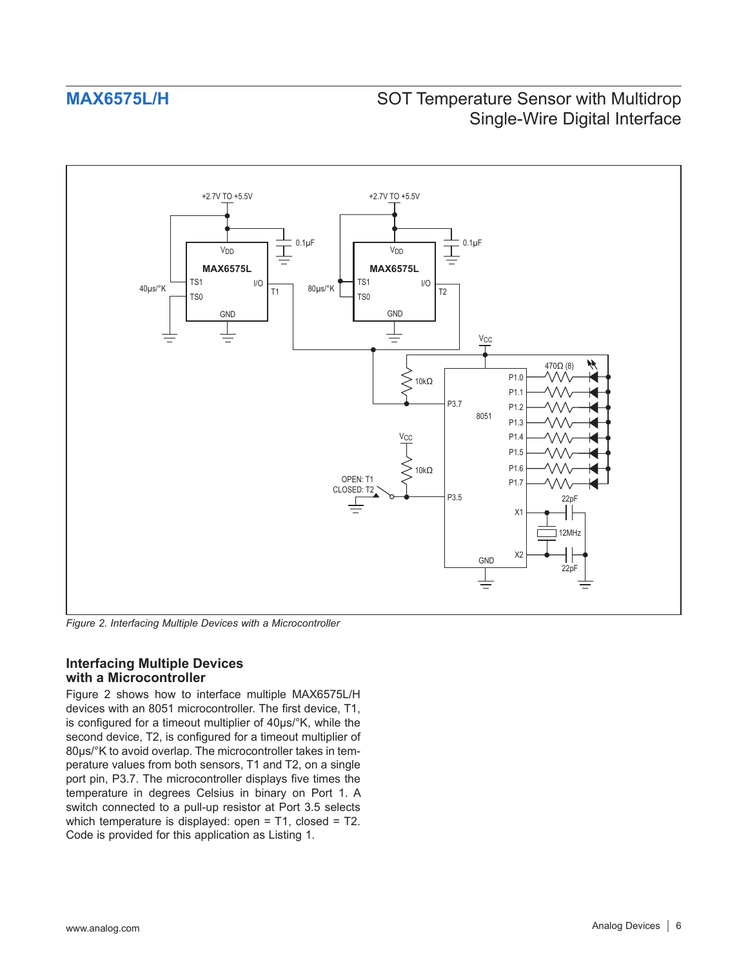

*Figure 2. Interfacing Multiple Devices with a Microcontroller*

### **Interfacing Multiple Devices with a Microcontroller**

Figure 2 shows how to interface multiple MAX6575L/H devices with an 8051 microcontroller. The first device, T1, is configured for a timeout multiplier of 40μs/°K, while the second device, T2, is configured for a timeout multiplier of 80μs/°K to avoid overlap. The microcontroller takes in temperature values from both sensors, T1 and T2, on a single port pin, P3.7. The microcontroller displays five times the temperature in degrees Celsius in binary on Port 1. A switch connected to a pull-up resistor at Port 3.5 selects which temperature is displayed: open = T1, closed = T2. Code is provided for this application as Listing 1.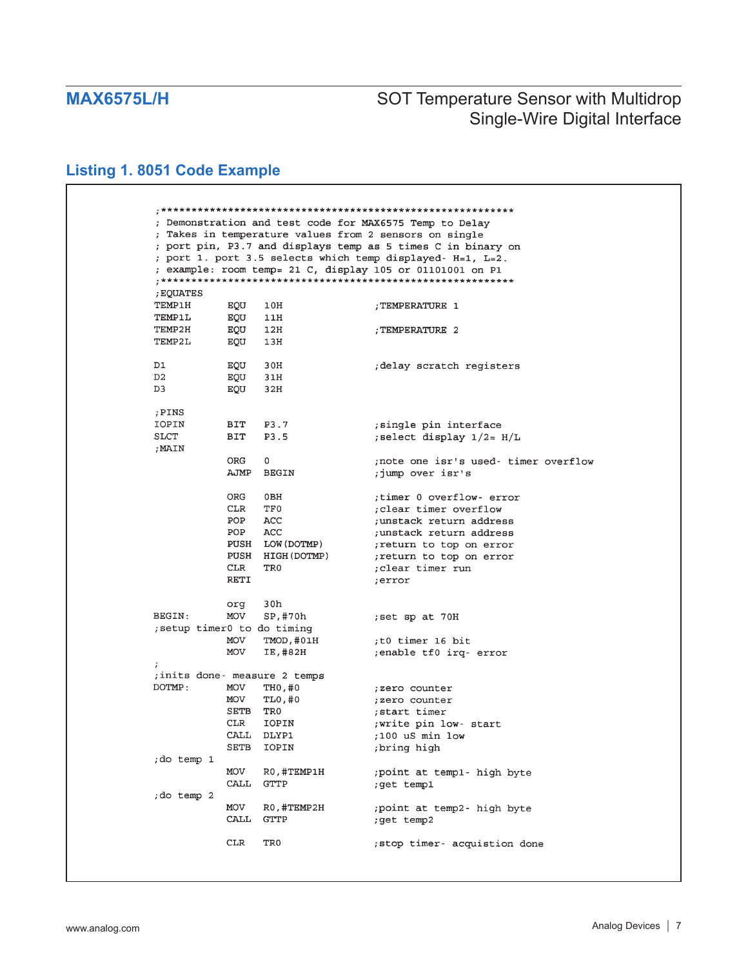# **Listing 1. 8051 Code Example**

|               |      |                               | ; Demonstration and test code for MAX6575 Temp to Delay<br>; Takes in temperature values from 2 sensors on single |
|---------------|------|-------------------------------|-------------------------------------------------------------------------------------------------------------------|
|               |      |                               | ; port pin, P3.7 and displays temp as 5 times C in binary on                                                      |
|               |      |                               | ; port 1. port 3.5 selects which temp displayed- H=1, L=2.                                                        |
|               |      |                               | ; example: room temp= 21 C, display 105 or 01101001 on P1                                                         |
|               |      |                               |                                                                                                                   |
| ; EQUATES     |      |                               |                                                                                                                   |
| TEMP1H        | EQU  | 10H                           | TEMPERATURE 1;                                                                                                    |
| <b>TEMP1L</b> | EQU  | 11H                           |                                                                                                                   |
| TEMP2H        | EQU  | 12H                           | TEMPERATURE 2                                                                                                     |
| TEMP2L        | EQU  | 13H                           |                                                                                                                   |
| D1            | EQU  | 30H                           | delay scratch registers,                                                                                          |
| D2.           | EQU  | 31H                           |                                                                                                                   |
| D3            | EQU  | 32H                           |                                                                                                                   |
| ; PINS        |      |                               |                                                                                                                   |
| IOPIN         | BIT  | P3.7                          | single pin interface;                                                                                             |
| SLCT          | BIT  | P3.5                          | ; select display $1/2 = H/L$                                                                                      |
| ; MAIN        |      |                               |                                                                                                                   |
|               | ORG  | 0                             | note one isr's used- timer overflow;                                                                              |
|               | AJMP | BEGIN                         | ;jump over isr's                                                                                                  |
|               | ORG  | 0BH                           | timer 0 overflow- error;                                                                                          |
|               | CLR. | TF0                           | ; clear timer overflow                                                                                            |
|               | POP  | ACC                           | ; unstack return address                                                                                          |
|               | POP  | ACC                           | ; unstack return address                                                                                          |
|               | PUSH | LOW (DOTMP)                   | ; return to top on error                                                                                          |
|               | PUSH | HIGH (DOTMP)                  | ; return to top on error                                                                                          |
|               | CLR  | TR0                           | clear timer run;                                                                                                  |
|               | RETI |                               | ;error                                                                                                            |
|               | org  | 30h                           |                                                                                                                   |
| BEGIN:        | MOV  | SP,#70h                       | ;set sp at 70H                                                                                                    |
|               |      | setup timer0 to do timing;    |                                                                                                                   |
|               | MOV  | TMOD, #01H                    | t0 timer 16 bit;                                                                                                  |
|               | MOV  | IE,#82H                       | enable tf0 irq- error;                                                                                            |
| $\ddot{ }$    |      | ; inits done- measure 2 temps |                                                                                                                   |
| DOTMP:        | MOV  | TH0,#0                        | ;zero counter                                                                                                     |
|               | MOV  | TL0,#0                        | ; zero counter                                                                                                    |
|               | SETB | TR0                           | ;start timer                                                                                                      |
|               | CLR  | IOPIN                         | write pin low- start;                                                                                             |
|               | CALL | DLYP1                         | ;100 uS min low                                                                                                   |
|               | SETB | IOPIN                         | ;bring high                                                                                                       |
| ;do temp 1    |      |                               |                                                                                                                   |
|               | MOV  | RO, #TEMP1H                   | ; point at temp1- high byte                                                                                       |
|               | CALL | GTTP                          | ;get temp1                                                                                                        |
| ;do temp 2    |      |                               |                                                                                                                   |
|               | MOV  | R0,#TEMP2H                    | ; point at temp2- high byte                                                                                       |
|               | CALL | <b>GTTP</b>                   | ;get temp2                                                                                                        |
|               |      |                               |                                                                                                                   |
|               | CLR  | TR0                           | ; stop timer- acquistion done                                                                                     |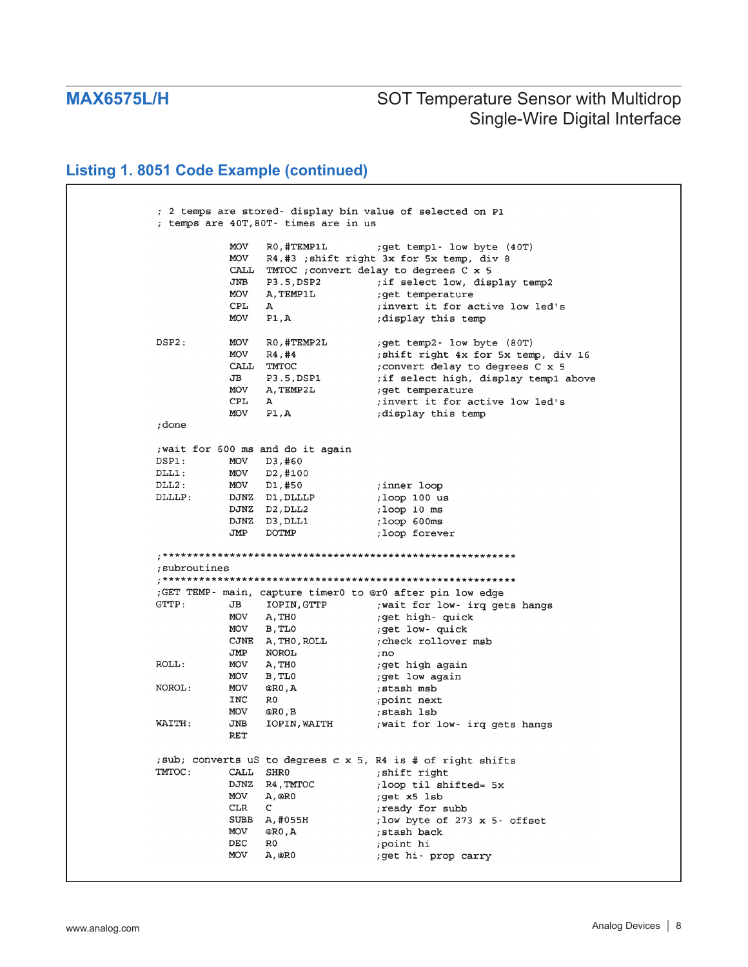## **Listing 1. 8051 Code Example (continued)**

; 2 temps are stored- display bin value of selected on P1 ; temps are 40T, 80T- times are in us MOV RO, #TEMP1L ; get temp1- low byte (40T) R4,#3 ; shift right 3x for 5x temp, div 8 MOV CALL TMTOC ; convert delay to degrees C x 5 P3.5, DSP2 ; if select low, display temp2 JNB ; get temperature MOV A, TEMP1L CPL  $\mathbf{A}$ ; invert it for active low led's **MOV**  $P1, A$ display this temp; ; get temp2- low byte (80T) DSP2: MOV RO, #TEMP2L MOV R<sub>4</sub>, #4 ; shift right 4x for 5x temp, div 16 CALL TMTOC ; convert delay to degrees C x 5 ; convert delay to degrees C x 5<br>; if select high, display templ above<br>; get temperature<br>; invert it for active low led's  $JB$ P3.5, DSP1 MOV A, TEMP2L CPL  $\Delta$ ; invert it for active low led's MOV  $P1, A$ ; display this temp ; done ; wait for 600 ms and do it again DSP1: MOV D3,#60  $DLL1$ : MOV D2, #100  $DLL2$ : MOV D1,#50 ; inner loop DJNZ D1, DLLLP<br>DJNZ D2, DLL2 ,100p 100 us DLLLP: ; loop 10 ms DJNZ D3, DLL1 ;loop 600ms JMP DOTMP ;loop forever ; subroutines ;GET TEMP- main, capture timer0 to @r0 after pin low edge JB IOPIN, GTTP : wait for low- irq gets hangs  $GTTTP:$ MOV A, THO ;get high- quick ;get low- quick MOV B, TLO CJNE A, THO, ROLL check rollover msb; NOROL JMP  $, no$ ROLL: get high again; **MOV** A, THO MOV B, TLO ;get low again NOROL: MOV @RO, A ;stash msb INC RO ;point next MOV ;stash 1sb @R0.B WAITH: JNB IOPIN, WAITH : wait for low- irq gets hangs **RET** ; sub; converts uS to degrees c x 5, R4 is # of right shifts TMTOC: CALL SHRO ; shift right DJNZ R4, TMTOC ; loop til shifted= 5x MOV  $A,@RO$ ;get x5 lsb  $\mathbf{C}$  $CLR$ ready for subb; SUBB A, #055H ; low byte of 273 x 5- offset MOV  $@RO$ , A ;stash back ;point hi DEC R<sub>0</sub> MOV  $A,$  @RO ;get hi- prop carry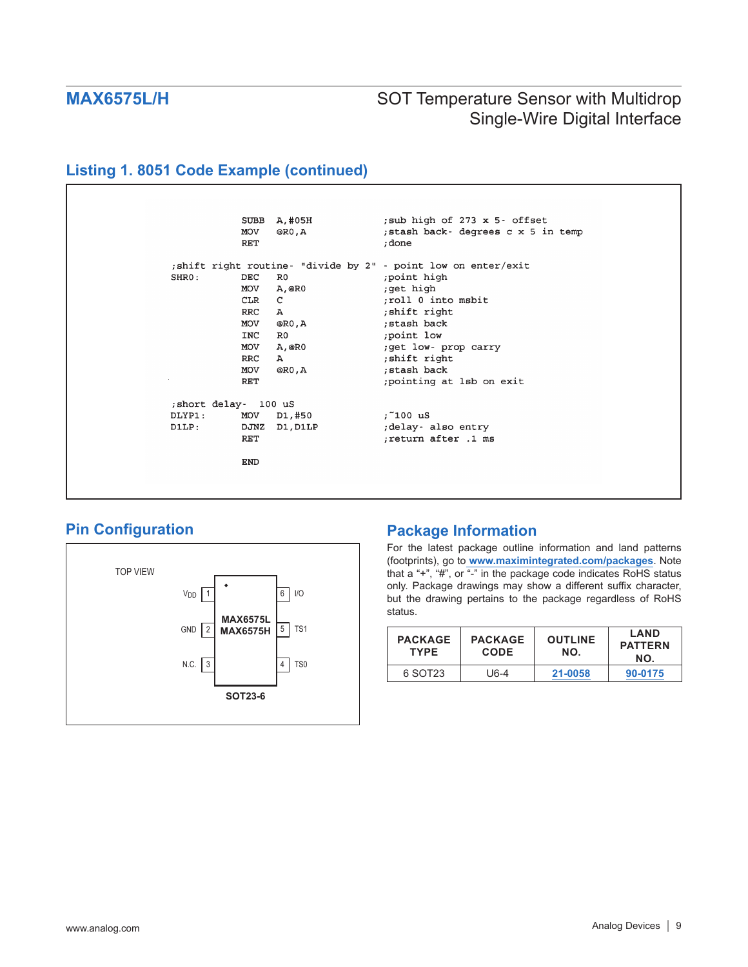# **Listing 1. 8051 Code Example (continued)**



## **Pin Configuration**



## **Package Information**

For the latest package outline information and land patterns (footprints), go to **[www.maximintegrated.com/packages](http://www.maximintegrated.com/packages)**. Note that a "+", "#", or "-" in the package code indicates RoHS status only. Package drawings may show a different suffix character, but the drawing pertains to the package regardless of RoHS status.

| <b>PACKAGE</b><br><b>TYPE</b> | <b>PACKAGE</b><br><b>CODE</b> | <b>OUTLINE</b><br>NO. | <b>LAND</b><br><b>PATTERN</b><br>NO. |
|-------------------------------|-------------------------------|-----------------------|--------------------------------------|
| 6 SOT23                       | U6-4                          | 21-0058               | 90-0175                              |